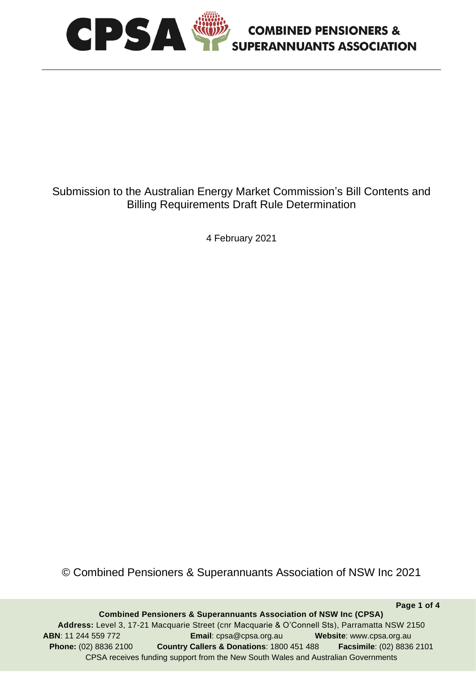

# Submission to the Australian Energy Market Commission's Bill Contents and Billing Requirements Draft Rule Determination

**COMBINED PENSIONERS &** 

4 February 2021

© Combined Pensioners & Superannuants Association of NSW Inc 2021

**Combined Pensioners & Superannuants Association of NSW Inc (CPSA) Address:** Level 3, 17-21 Macquarie Street (cnr Macquarie & O'Connell Sts), Parramatta NSW 2150 **ABN**: 11 244 559 772 **Email**: cpsa@cpsa.org.au **Website**: www.cpsa.org.au **Phone:** (02) 8836 2100 **Country Callers & Donations**: 1800 451 488 **Facsimile**: (02) 8836 2101 CPSA receives funding support from the New South Wales and Australian Governments

**Page 1 of 4**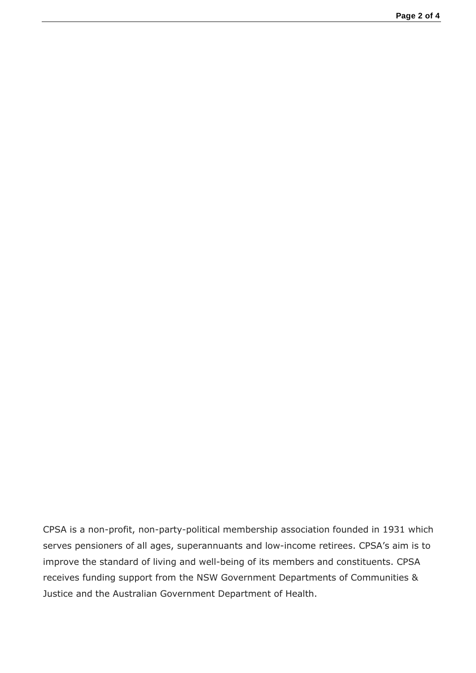CPSA is a non-profit, non-party-political membership association founded in 1931 which serves pensioners of all ages, superannuants and low-income retirees. CPSA's aim is to improve the standard of living and well-being of its members and constituents. CPSA receives funding support from the NSW Government Departments of Communities & Justice and the Australian Government Department of Health.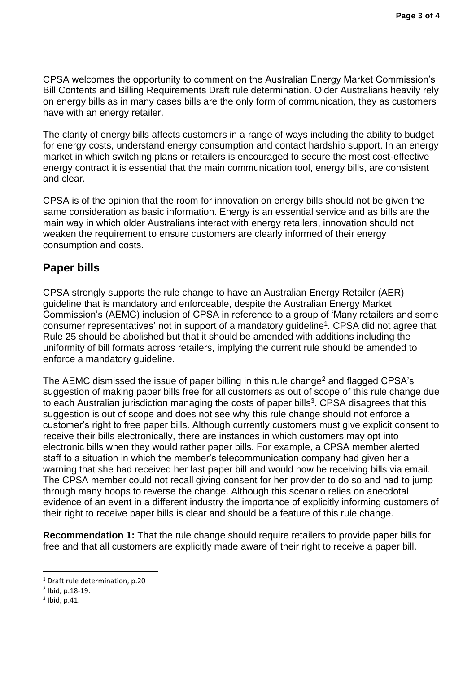CPSA welcomes the opportunity to comment on the Australian Energy Market Commission's Bill Contents and Billing Requirements Draft rule determination. Older Australians heavily rely on energy bills as in many cases bills are the only form of communication, they as customers have with an energy retailer.

The clarity of energy bills affects customers in a range of ways including the ability to budget for energy costs, understand energy consumption and contact hardship support. In an energy market in which switching plans or retailers is encouraged to secure the most cost-effective energy contract it is essential that the main communication tool, energy bills, are consistent and clear.

CPSA is of the opinion that the room for innovation on energy bills should not be given the same consideration as basic information. Energy is an essential service and as bills are the main way in which older Australians interact with energy retailers, innovation should not weaken the requirement to ensure customers are clearly informed of their energy consumption and costs.

### **Paper bills**

CPSA strongly supports the rule change to have an Australian Energy Retailer (AER) guideline that is mandatory and enforceable, despite the Australian Energy Market Commission's (AEMC) inclusion of CPSA in reference to a group of 'Many retailers and some consumer representatives' not in support of a mandatory guideline<sup>1</sup>. CPSA did not agree that Rule 25 should be abolished but that it should be amended with additions including the uniformity of bill formats across retailers, implying the current rule should be amended to enforce a mandatory guideline.

The AEMC dismissed the issue of paper billing in this rule change<sup>2</sup> and flagged CPSA's suggestion of making paper bills free for all customers as out of scope of this rule change due to each Australian jurisdiction managing the costs of paper bills<sup>3</sup>. CPSA disagrees that this suggestion is out of scope and does not see why this rule change should not enforce a customer's right to free paper bills. Although currently customers must give explicit consent to receive their bills electronically, there are instances in which customers may opt into electronic bills when they would rather paper bills. For example, a CPSA member alerted staff to a situation in which the member's telecommunication company had given her a warning that she had received her last paper bill and would now be receiving bills via email. The CPSA member could not recall giving consent for her provider to do so and had to jump through many hoops to reverse the change. Although this scenario relies on anecdotal evidence of an event in a different industry the importance of explicitly informing customers of their right to receive paper bills is clear and should be a feature of this rule change.

**Recommendation 1:** That the rule change should require retailers to provide paper bills for free and that all customers are explicitly made aware of their right to receive a paper bill.

<sup>1</sup> Draft rule determination, p.20

<sup>2</sup> Ibid, p.18-19.

 $3$  Ibid, p.41.